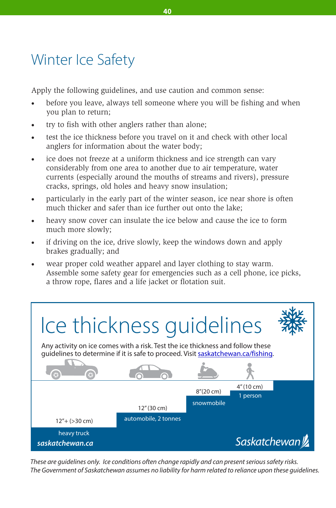## Winter Ice Safety

Apply the following guidelines, and use caution and common sense:

- before you leave, always tell someone where you will be fishing and when you plan to return;
- try to fish with other anglers rather than alone;
- test the ice thickness before you travel on it and check with other local anglers for information about the water body;
- ice does not freeze at a uniform thickness and ice strength can vary considerably from one area to another due to air temperature, water currents (especially around the mouths of streams and rivers), pressure cracks, springs, old holes and heavy snow insulation;
- · particularly in the early part of the winter season, ice near shore is often much thicker and safer than ice further out onto the lake;
- · heavy snow cover can insulate the ice below and cause the ice to form much more slowly;
- · if driving on the ice, drive slowly, keep the windows down and apply brakes gradually; and
- wear proper cold weather apparel and layer clothing to stay warm. Assemble some safety gear for emergencies such as a cell phone, ice picks, a throw rope, flares and a life jacket or flotation suit.



These are guidelines only. Ice conditions often change rapidly and can present serious safety risks. The Government of Saskatchewan assumes no liability for harm related to reliance upon these guidelines.